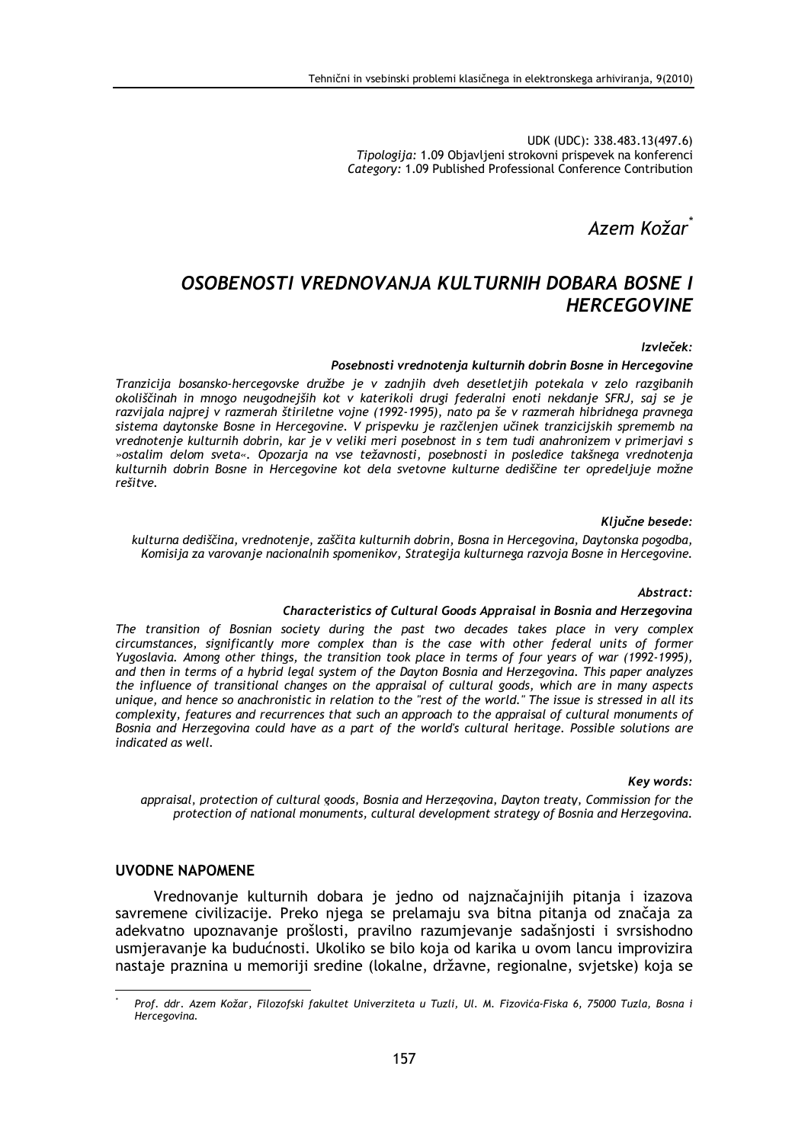UDK (UDC): 338.483.13(497.6) Tipologija: 1.09 Objavljeni strokovni prispevek na konferenci Category: 1.09 Published Professional Conference Contribution

Azem Kožar

# OSOBENOSTI VREDNOVANJA KULTURNIH DOBARA BOSNE I **HERCEGOVINE**

#### Izvleček:

#### Posebnosti vrednotenia kulturnih dobrin Bosne in Hercegovine

Tranzicija bosansko-hercegovske družbe je v zadnjih dveh desetletjih potekala v zelo razgibanih okoliščinah in mnogo neugodnejših kot v katerikoli drugi federalni enoti nekdanje SFRJ, saj se je razvijala najprej v razmerah štiriletne vojne (1992-1995), nato pa še v razmerah hibridnega pravnega sistema daytonske Bosne in Hercegovine. V prispevku je razčlenjen učinek tranzicijskih sprememb na vrednotenje kulturnih dobrin, kar je v veliki meri posebnost in s tem tudi anahronizem v primerjavi s »ostalim delom sveta«. Opozarja na vse težavnosti, posebnosti in posledice takšnega vrednotenja kulturnih dobrin Bosne in Hercegovine kot dela svetovne kulturne dediščine ter opredeljuje možne rešitve.

Ključne besede:

kulturna dediščina, vrednotenje, zaščita kulturnih dobrin, Bosna in Hercegovina, Daytonska pogodba, Komisija za varovanje nacionalnih spomenikov, Strategija kulturnega razvoja Bosne in Hercegovine.

Abstract:

### Characteristics of Cultural Goods Appraisal in Bosnia and Herzegovina

The transition of Bosnian society during the past two decades takes place in very complex circumstances, significantly more complex than is the case with other federal units of former Yugoslavia. Among other things, the transition took place in terms of four years of war (1992-1995), and then in terms of a hybrid legal system of the Dayton Bosnia and Herzegovina. This paper analyzes the influence of transitional changes on the appraisal of cultural goods, which are in many aspects unique, and hence so anachronistic in relation to the "rest of the world." The issue is stressed in all its complexity, features and recurrences that such an approach to the appraisal of cultural monuments of Bosnia and Herzegovina could have as a part of the world's cultural heritage. Possible solutions are indicated as well.

#### Kev words:

appraisal, protection of cultural goods, Bosnia and Herzegovina, Dayton treaty, Commission for the protection of national monuments, cultural development strategy of Bosnia and Herzegovina.

## **UVODNE NAPOMENE**

Vrednovanje kulturnih dobara je jedno od najznačajnijih pitanja i izazova savremene civilizacije. Preko njega se prelamaju sva bitna pitanja od značaja za adekvatno upoznavanje prošlosti, pravilno razumjevanje sadašnjosti i svrsishodno usmjeravanje ka budućnosti. Ukoliko se bilo koja od karika u ovom lancu improvizira nastaje praznina u memoriji sredine (lokalne, državne, regionalne, svjetske) koja se

Prof. ddr. Azem Kožar, Filozofski fakultet Univerziteta u Tuzli, Ul. M. Fizovića-Fiska 6, 75000 Tuzla, Bosna i Hercegovina.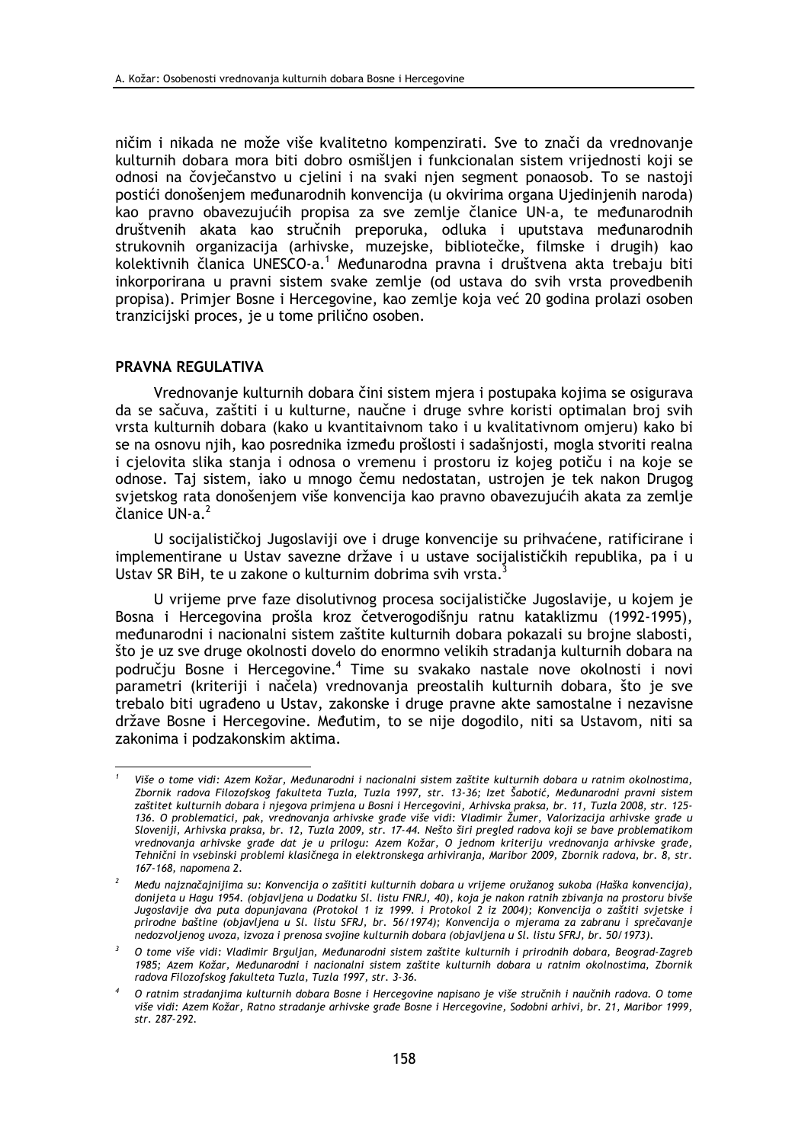ničim i nikada ne može više kvalitetno kompenzirati. Sve to znači da vrednovanje kulturnih dobara mora biti dobro osmišljen i funkcionalan sistem vrijednosti koji se odnosi na čovječanstvo u cjelini i na svaki njen segment ponaosob. To se nastoji postići donošenjem međunarodnih konvencija (u okvirima organa Ujedinjenih naroda) kao pravno obavezujućih propisa za sve zemlje članice UN-a, te međunarodnih društvenih akata kao stručnih preporuka, odluka i uputstava međunarodnih strukovnih organizacija (arhivske, muzejske, bibliotečke, filmske i drugih) kao kolektivnih članica UNESCO-a.<sup>1</sup> Međunarodna pravna i društvena akta trebaju biti inkorporirana u pravni sistem svake zemlje (od ustava do svih vrsta provedbenih propisa). Primjer Bosne i Hercegovine, kao zemlje koja već 20 godina prolazi osoben tranzicijski proces, je u tome prilično osoben.

## PRAVNA REGULATIVA

Vrednovanje kulturnih dobara čini sistem mjera i postupaka kojima se osigurava da se sačuva, zaštiti i u kulturne, naučne i druge svhre koristi optimalan broj svih vrsta kulturnih dobara (kako u kvantitaivnom tako i u kvalitativnom omjeru) kako bi se na osnovu njih, kao posrednika između prošlosti i sadašnjosti, mogla stvoriti realna i cjelovita slika stanja i odnosa o vremenu i prostoru iz kojeg potiču i na koje se odnose. Taj sistem, jako u mnogo čemu nedostatan, ustrojen je tek nakon Drugog svjetskog rata donošenjem više konvencija kao pravno obavezujućih akata za zemlje članice UN-a.<sup>2</sup>

U socijalističkoj Jugoslaviji ove i druge konvencije su prihvaćene, ratificirane i implementirane u Ustav savezne države i u ustave socijalističkih republika, pa i u Ustav SR BiH, te u zakone o kulturnim dobrima svih vrsta.<sup>3</sup>

U vrijeme prve faze disolutivnog procesa socijalističke Jugoslavije, u kojem je Bosna i Hercegovina prošla kroz četverogodišniu ratnu kataklizmu (1992-1995), međunarodni i nacionalni sistem zaštite kulturnih dobara pokazali su brojne slabosti. što je uz sve druge okolnosti dovelo do enormno velikih stradanja kulturnih dobara na području Bosne i Hercegovine.<sup>4</sup> Time su svakako nastale nove okolnosti i novi parametri (kriteriji i načela) vrednovanja preostalih kulturnih dobara, što je sve trebalo biti ugrađeno u Ustav, zakonske i druge pravne akte samostalne i nezavisne države Bosne i Hercegovine. Međutim, to se nije dogodilo, niti sa Ustavom, niti sa zakonima i podzakonskim aktima.

Više o tome vidi: Azem Kožar, Međunarodni i nacionalni sistem zaštite kulturnih dobara u ratnim okolnostima, Zbornik radova Filozofskog fakulteta Tuzla, Tuzla 1997, str. 13-36; Izet Šabotić, Međunarodni pravni sistem zaštitet kulturnih dobara i njegova primjena u Bosni i Hercegovini, Arhivska praksa, br. 11, Tuzla 2008, str. 125-136. O problematici, pak, vrednovanja arhivske građe više vidi: Vladimir Žumer, Valorizacija arhivske građe u Sloveniji, Arhivska praksa, br. 12, Tuzla 2009, str. 17-44. Nešto širi pregled radova koji se bave problematikom vrednovanja arhivske građe dat je u prilogu: Azem Kožar, O jednom kriteriju vrednovanja arhivske građe, Tehnični in vsebinski problemi klasičnega in elektronskega arhiviranja, Maribor 2009, Zbornik radova, br. 8, str. 167-168, napomena 2.

Među najznačajnijima su: Konvencija o zašititi kulturnih dobara u vrijeme oružanog sukoba (Haška konvencija), donijeta u Hagu 1954. (objavljena u Dodatku Sl. listu FNRJ, 40), koja je nakon ratnih zbivanja na prostoru bivše Jugoslavije dva puta dopunjavana (Protokol 1 iz 1999. i Protokol 2 iz 2004); Konvencija o zaštiti svjetske i prirodne baštine (objavljena u SI. listu SFRJ, br. 56/1974); Konvencija o mjerama za zabranu i sprečavanje nedozvoljenog uvoza, izvoza i prenosa svojine kulturnih dobara (objavljena u Sl. listu SFRJ, br. 50/1973).

 $\overline{2}$ O tome više vidi: Vladimir Brguljan, Međunarodni sistem zaštite kulturnih i prirodnih dobara, Beograd-Zagreb 1985; Azem Kožar, Međunarodni i nacionalni sistem zaštite kulturnih dobara u ratnim okolnostima, Zbornik radova Filozofskog fakulteta Tuzla, Tuzla 1997, str. 3-36.

O ratnim stradanjima kulturnih dobara Bosne i Hercegovine napisano je više stručnih i naučnih radova. O tome više vidi: Azem Kožar, Ratno stradanje arhivske građe Bosne i Hercegovine, Sodobni arhivi, br. 21, Maribor 1999, str. 287-292.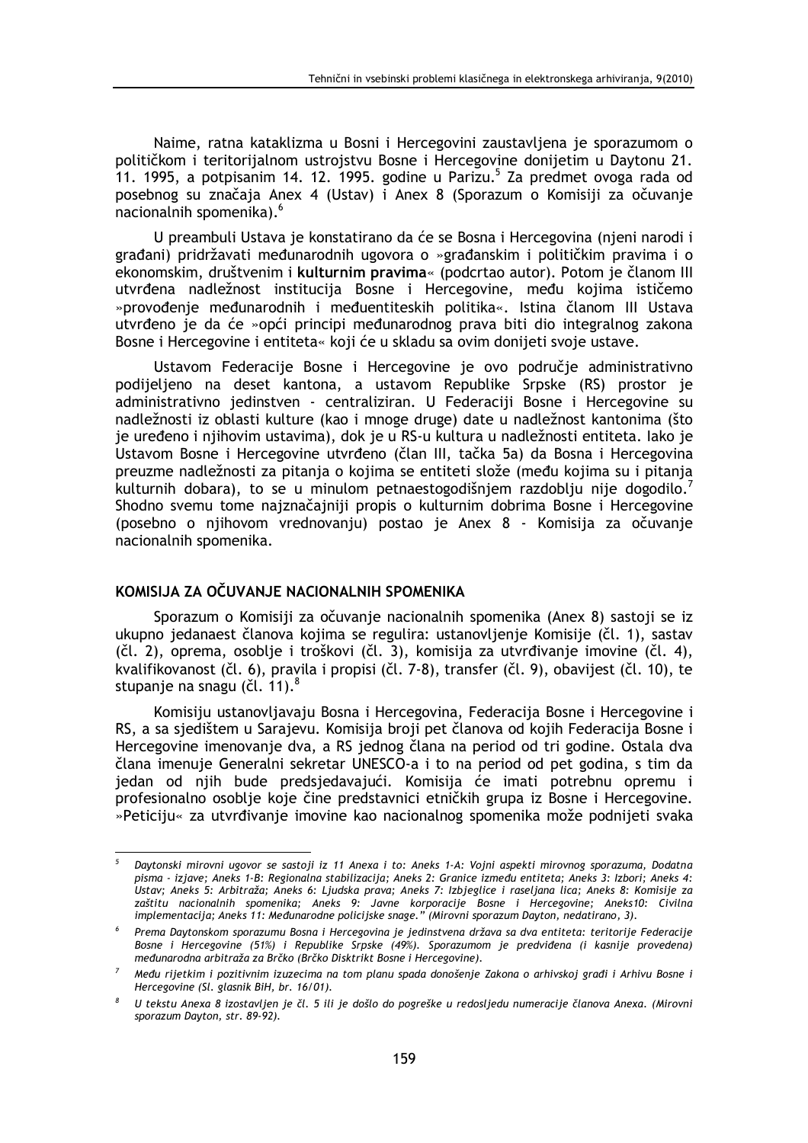Naime, ratna kataklizma u Bosni i Hercegovini zaustavljena je sporazumom o političkom i teritorijalnom ustrojstvu Bosne i Hercegovine donijetim u Daytonu 21. 11. 1995, a potpisanim 14. 12. 1995. godine u Parizu.<sup>5</sup> Za predmet ovoga rada od posebnog su značaja Anex 4 (Ustav) i Anex 8 (Sporazum o Komisiji za očuvanje nacionalnih spomenika).<sup>6</sup>

U preambuli Ustava je konstatirano da će se Bosna i Hercegovina (njeni narodi i građani) pridržavati međunarodnih ugovora o »građanskim i političkim pravima i o ekonomskim, društvenim i kulturnim pravima« (podcrtao autor). Potom je članom III utvrđena nadležnost institucija Bosne i Hercegovine, među kojima ističemo »provođenje međunarodnih i međuentiteskih politika«. Istina članom III Ustava utvrđeno je da će »opći principi međunarodnog prava biti dio integralnog zakona Bosne i Hercegovine i entiteta« koji će u skladu sa ovim donijeti svoje ustave.

Ustavom Federacije Bosne i Hercegovine je ovo područje administrativno podijeljeno na deset kantona, a ustavom Republike Srpske (RS) prostor je administrativno jedinstven - centraliziran. U Federaciji Bosne i Hercegovine su nadležnosti iz oblasti kulture (kao i mnoge druge) date u nadležnost kantonima (što je uređeno i njihovim ustavima), dok je u RS-u kultura u nadležnosti entiteta. Iako je Ustavom Bosne i Hercegovine utvrđeno (član III, tačka 5a) da Bosna i Hercegovina preuzme nadležnosti za pitanja o kojima se entiteti slože (među kojima su i pitanja kulturnih dobara), to se u minulom petnaestogodišnjem razdoblju nije dogodilo.<sup>7</sup> Shodno svemu tome najznačajniji propis o kulturnim dobrima Bosne i Hercegovine (posebno o njihovom vrednovanju) postao je Anex 8 - Komisija za očuvanje nacionalnih spomenika.

# KOMISLIA ZA OČLIVANJE NACIONALNIH SPOMENIKA

Sporazum o Komisiji za očuvanje nacionalnih spomenika (Anex 8) sastoji se iz ukupno jedanaest članova kojima se regulira: ustanovljenje Komisije (čl. 1), sastav (čl. 2), oprema, osoblje i troškovi (čl. 3), komisija za utvrđivanje imovine (čl. 4), kvalifikovanost (čl. 6), pravila i propisi (čl. 7-8), transfer (čl. 9), obavijest (čl. 10), te stupanje na snagu (čl. 11).<sup>8</sup>

Komisiju ustanovljavaju Bosna i Hercegovina, Federacija Bosne i Hercegovine i RS, a sa sjedištem u Sarajevu. Komisija broji pet članova od kojih Federacija Bosne i Hercegovine imenovanje dva, a RS jednog člana na period od tri godine. Ostala dva člana imenuje Generalni sekretar UNESCO-a i to na period od pet godina, s tim da jedan od njih bude predsjedavajući. Komisija će imati potrebnu opremu i profesionalno osoblje koje čine predstavnici etničkih grupa iz Bosne i Hercegovine. »Peticiju« za utvrđivanje imovine kao nacionalnog spomenika može podnijeti svaka

Daytonski mirovni ugovor se sastoji iz 11 Anexa i to: Aneks 1-A: Vojni aspekti mirovnog sporazuma, Dodatna pisma - izjave; Aneks 1-B: Regionalna stabilizacija; Aneks 2: Granice između entiteta; Aneks 3: Izbori; Aneks 4: Ustav; Aneks 5: Arbitraža; Aneks 6: Ljudska prava; Aneks 7: Izbjeglice i raseljana lica; Aneks 8: Komisije za zaštitu nacionalnih spomenika; Aneks 9: Javne korporacije Bosne i Hercegovine; Aneks10: Civilna implementacija; Aneks 11: Međunarodne policijske snage." (Mirovni sporazum Dayton, nedatirano, 3).

Prema Daytonskom sporazumu Bosna i Hercegovina je jedinstvena država sa dva entiteta: teritorije Federacije Bosne i Hercegovine (51%) i Republike Srpske (49%). Sporazumom je predviđena (i kasnije provedena) međunarodna arbitraža za Brčko (Brčko Disktrikt Bosne i Hercegovine).

Među rijetkim i pozitivnim izuzecima na tom planu spada donošenje Zakona o arhivskoj građi i Arhivu Bosne i Hercegovine (Sl. glasnik BiH, br. 16/01).

U tekstu Anexa 8 izostavljen je čl. 5 ili je došlo do pogreške u redosljedu numeracije članova Anexa. (Mirovni sporazum Dayton, str. 89-92).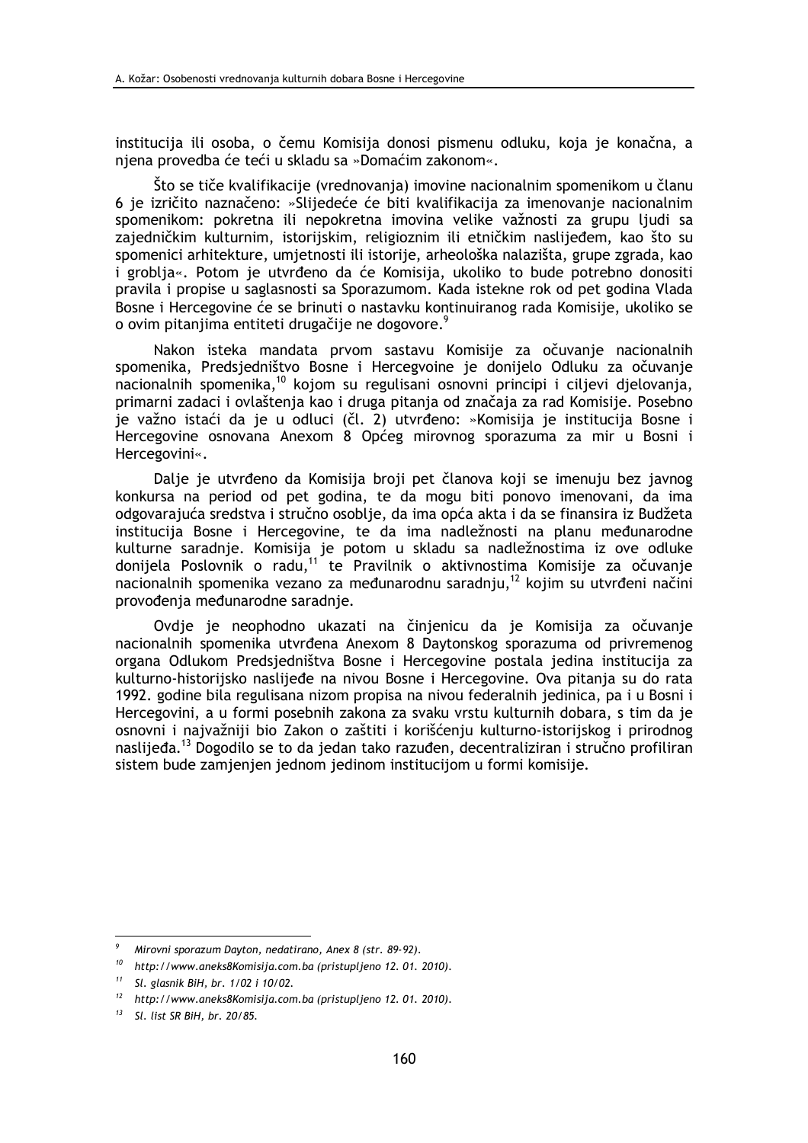institucija ili osoba, o čemu Komisija donosi pismenu odluku, koja je konačna, a njena provedba će teći u skladu sa »Domaćim zakonom«.

Što se tiče kvalifikacije (vrednovanja) imovine nacionalnim spomenikom u članu 6 je izričito naznačeno: »Slijedeće će biti kvalifikacija za imenovanje nacionalnim spomenikom: pokretna ili nepokretna imovina velike važnosti za grupu ljudi sa zajedničkim kulturnim, istorijskim, religioznim ili etničkim naslijeđem, kao što su spomenici arhitekture, umjetnosti ili istorije, arheološka nalazišta, grupe zgrada, kao i groblja«. Potom je utvrđeno da će Komisija, ukoliko to bude potrebno donositi pravila i propise u saglasnosti sa Sporazumom. Kada istekne rok od pet godina Vlada Bosne i Hercegovine će se brinuti o nastavku kontinuiranog rada Komisije, ukoliko se o ovim pitanjima entiteti drugačije ne dogovore.

Nakon isteka mandata prvom sastavu Komisije za očuvanje nacionalnih spomenika, Predsjedništvo Bosne i Hercegvoine je donijelo Odluku za očuvanje nacionalnih spomenika,<sup>10</sup> kojom su regulisani osnovni principi i ciljevi djelovanja, primarni zadaci i ovlaštenja kao i druga pitanja od značaja za rad Komisije. Posebno je važno istaći da je u odluci (čl. 2) utvrđeno: »Komisija je institucija Bosne i Hercegovine osnovana Anexom 8 Općeg mirovnog sporazuma za mir u Bosni i Hercegovini«.

Dalje je utvrđeno da Komisija broji pet članova koji se imenuju bez javnog konkursa na period od pet godina, te da mogu biti ponovo imenovani, da ima odgovarajuća sredstva i stručno osoblje, da ima opća akta i da se finansira iz Budžeta institucija Bosne i Hercegovine, te da ima nadležnosti na planu međunarodne kulturne saradnje. Komisija je potom u skladu sa nadležnostima iz ove odluke donijela Poslovnik o radu,<sup>11</sup> te Pravilnik o aktivnostima Komisije za očuvanje nacionalnih spomenika vezano za međunarodnu saradniu.<sup>12</sup> kojim su utvrđeni načini provođenja međunarodne saradnje.

Ovdje je neophodno ukazati na činjenicu da je Komisija za očuvanje nacionalnih spomenika utvrđena Anexom 8 Davtonskog sporazuma od privremenog organa Odlukom Predsjedništva Bosne i Hercegovine postala jedina institucija za kulturno-historijsko naslijeđe na nivou Bosne i Hercegovine. Ova pitanja su do rata 1992. godine bila regulisana nizom propisa na nivou federalnih jedinica, pa i u Bosni i Hercegovini, a u formi posebnih zakona za svaku vrstu kulturnih dobara, s tim da je osnovni i najvažniji bio Zakon o zaštiti i korišćenju kulturno-istorijskog i prirodnog naslijeđa.<sup>13</sup> Dogodilo se to da jedan tako razuđen, decentraliziran i stručno profiliran sistem bude zamjenjen jednom jedinom institucijom u formi komisije.

 $\overline{9}$ Mirovni sporazum Dayton, nedatirano, Anex 8 (str. 89-92).

 $10$  http://www.aneks8Komisija.com.ba (pristupljeno 12.01.2010).

 $11$ Sl. glasnik BiH, br. 1/02 i 10/02.

 $12$ http://www.aneks8Komisija.com.ba (pristupljeno 12.01.2010).

Sl. list SR BiH, br. 20/85.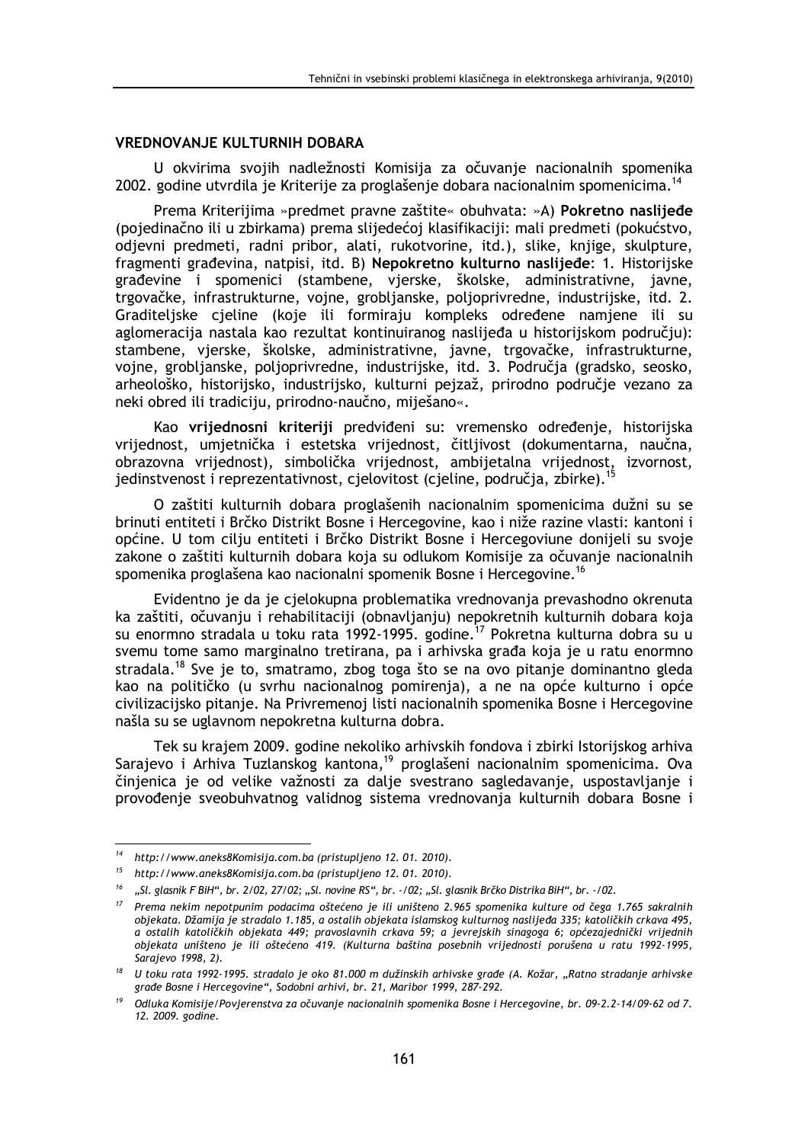# **VREDNOVANJE KULTURNIH DOBARA**

U okvirima svojih nadležnosti Komisija za očuvanje nacionalnih spomenika 2002. godine utvrdila je Kriterije za proglašenje dobara nacionalnim spomenicima.<sup>14</sup>

Prema Kriterijima »predmet pravne zaštite« obuhvata: »A) Pokretno naslijeđe (pojedinačno ili u zbirkama) prema slijedećoj klasifikaciji: mali predmeti (pokućstvo, odjevni predmeti, radni pribor, alati, rukotvorine, itd.), slike, knjige, skulpture, fragmenti građevina, natpisi, itd. B) Nepokretno kulturno naslijeđe: 1. Historijske građevine i spomenici (stambene, vjerske, školske, administrativne, javne, trgovačke, infrastrukturne, vojne, grobljanske, poljoprivredne, industrijske, itd. 2. Graditeliske cieline (koje ili formiraju kompleks određene namjene ili su aglomeracija nastala kao rezultat kontinuiranog naslijeđa u historijskom području): stambene, vjerske, školske, administrativne, javne, trgovačke, infrastrukturne, vojne, grobljanske, poljoprivredne, industrijske, itd. 3. Područja (gradsko, seosko, arheološko, historijsko, industrijsko, kulturni pejzaž, prirodno područje vezano za neki obred ili tradiciju, prirodno-naučno, miješano«.

Kao vrijednosni kriteriji predviđeni su: vremensko određenje, historijska vrijednost, umjetnička i estetska vrijednost, čitljivost (dokumentarna, naučna, obrazovna vrijednost), simbolička vrijednost, ambijetalna vrijednost, izvornost, jedinstvenost i reprezentativnost, cjelovitost (cjeline, područia, zbirke).<sup>15</sup>

O zaštiti kulturnih dobara proglašenih nacionalnim spomenicima dužni su se brinuti entiteti i Brčko Distrikt Bosne i Hercegovine, kao i niže razine vlasti: kantoni i općine. U tom cilju entiteti i Brčko Distrikt Bosne i Hercegoviune donijeli su svoje zakone o zaštiti kulturnih dobara koja su odlukom Komisije za očuvanje nacionalnih spomenika proglašena kao nacionalni spomenik Bosne i Hercegovine.<sup>16</sup>

Evidentno je da je cjelokupna problematika vrednovanja prevashodno okrenuta ka zaštiti, očuvanju i rehabilitaciji (obnavljanju) nepokretnih kulturnih dobara koja su enormno stradala u toku rata 1992-1995. godine.<sup>17</sup> Pokretna kulturna dobra su u svemu tome samo marginalno tretirana, pa i arhivska građa koja je u ratu enormno stradala.<sup>18</sup> Sve je to, smatramo, zbog toga što se na ovo pitanje dominantno gleda kao na političko (u svrhu nacionalnog pomirenja), a ne na opće kulturno i opće civilizacijsko pitanje. Na Privremenoj listi nacionalnih spomenika Bosne i Hercegovine našla su se uglavnom nepokretna kulturna dobra.

Tek su krajem 2009. godine nekoliko arhivskih fondova i zbirki Istorijskog arhiva Sarajevo i Arhiva Tuzlanskog kantona,<sup>19</sup> proglašeni nacionalnim spomenicima. Ova činjenica je od velike važnosti za dalje svestrano sagledavanje, uspostavljanje i provođenje sveobuhvatnog validnog sistema vrednovanja kulturnih dobara Bosne i

<sup>&</sup>lt;sup>14</sup> http://www.aneks8Komisija.com.ba (pristupljeno 12.01.2010).

 $15$  http://www.aneks8Komisija.com.ba (pristupljeno 12.01.2010).

<sup>16</sup> "Sl. glasnik F BiH", br. 2/02, 27/02; "Sl. novine RS", br. -/02; "Sl. glasnik Brčko Distrika BiH", br. -/02.

<sup>&</sup>lt;sup>17</sup> Prema nekim nepotpunim podacima oštećeno je ili uništeno 2.965 spomenika kulture od čega 1.765 sakralnih objekata. Džamija je stradalo 1.185, a ostalih objekata islamskog kulturnog naslijeđa 335; katoličkih crkava 495, a ostalih katoličkih objekata 449; pravoslavnih crkava 59; a jevrejskih sinagoga 6; općezajednički vrijednih obiekata uništeno je ili oštećeno 419. (Kulturna baština posebnih vrijednosti porušena u ratu 1992-1995. Sarajevo 1998, 2).

<sup>&</sup>lt;sup>18</sup> U toku rata 1992-1995. stradalo je oko 81.000 m dužinskih arhivske građe (A. Kožar, "Ratno stradanje arhivske građe Bosne i Hercegovine", Sodobni arhivi, br. 21, Maribor 1999, 287-292.

Odluka Komisije/Povjerenstva za očuvanje nacionalnih spomenika Bosne i Hercegovine, br. 09-2.2-14/09-62 od 7. 12. 2009. godine.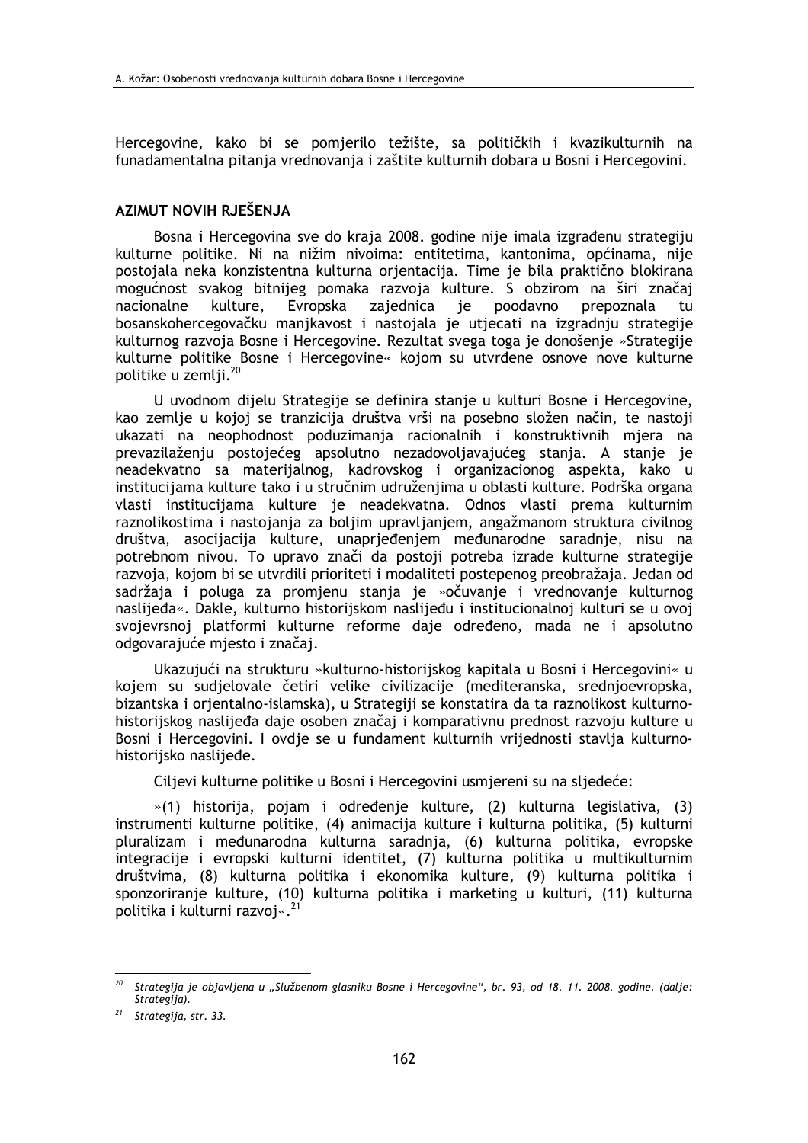Hercegovine, kako bi se pomjerilo težište, sa političkih i kvazikulturnih na funadamentalna pitanja vrednovanja i zaštite kulturnih dobara u Bosni i Hercegovini.

## AZIMUT NOVIH RJEŠENJA

Bosna i Hercegovina sve do kraja 2008. godine nije imala izgrađenu strategiju kulturne politike. Ni na nižim nivoima: entitetima, kantonima, općinama, nije postojala neka konzistentna kulturna orjentacija. Time je bila praktično blokirana mogućnost svakog bitnijeg pomaka razvoja kulture. S obzirom na širi značaj nacionalne kulture. Evropska zajednica ie poodavno prepoznala tu bosanskohercegovačku manikavost i nastojala je utjecati na izgradnju strategije kulturnog razvoja Bosne i Hercegovine. Rezultat svega toga je donošenje »Strategije kulturne politike Bosne i Hercegovine« kojom su utvrđene osnove nove kulturne politike u zemlii.<sup>20</sup>

U uvodnom dijelu Strategije se definira stanje u kulturi Bosne i Hercegovine, kao zemlje u kojoj se tranzicija društva vrši na posebno složen način, te nastoji ukazati na neophodnost poduzimanja racionalnih i konstruktivnih mjera na prevazilaženju postojećeg apsolutno nezadovoljavajućeg stanja. A stanje je neadekvatno sa materijalnog, kadrovskog i organizacionog aspekta, kako u institucijama kulture tako i u stručnim udruženjima u oblasti kulture. Podrška organa vlasti institucijama kulture je neadekvatna. Odnos vlasti prema kulturnim raznolikostima i nastojanja za boljim upravljanjem, angažmanom struktura civilnog društva, asocijacija kulture, unaprjeđenjem međunarodne saradnje, nisu na potrebnom nivou. To upravo znači da postoji potreba izrade kulturne strategije razvoja, kojom bi se utvrdili prioriteti i modaliteti postepenog preobražaja. Jedan od sadržaja i poluga za promienu stania je »očuvanje i vrednovanje kulturnog naslijeđa«. Dakle, kulturno historijskom naslijeđu i institucionalnoj kulturi se u ovoj svojevrsnoj platformi kulturne reforme daje određeno, mada ne i apsolutno odgovarajuće mjesto i značaj.

Ukazujući na strukturu »kulturno-historijskog kapitala u Bosni i Hercegovini« u kojem su sudjelovale četiri velike civilizacije (mediteranska, srednjoevropska, bizantska i orjentalno-islamska), u Strategiji se konstatira da ta raznolikost kulturnohistorijskog naslijeđa daje osoben značaj i komparativnu prednost razvoju kulture u Bosni i Hercegovini. I ovdje se u fundament kulturnih vrijednosti stavlja kulturnohistorijsko naslijeđe.

Ciljevi kulturne politike u Bosni i Hercegovini usmjereni su na sljedeće:

»(1) historija, pojam i određenje kulture, (2) kulturna legislativa, (3) instrumenti kulturne politike, (4) animacija kulture i kulturna politika, (5) kulturni pluralizam i međunarodna kulturna saradnia. (6) kulturna politika, evropske integracije i evropski kulturni identitet, (7) kulturna politika u multikulturnim društvima, (8) kulturna politika i ekonomika kulture, (9) kulturna politika i sponzoriranje kulture, (10) kulturna politika i marketing u kulturi, (11) kulturna politika i kulturni razvoj«.<sup>21</sup>

Strategija je objavljena u "Službenom glasniku Bosne i Hercegovine", br. 93, od 18. 11. 2008. godine. (dalje: Strategija).

 $21$  Strategija, str. 33.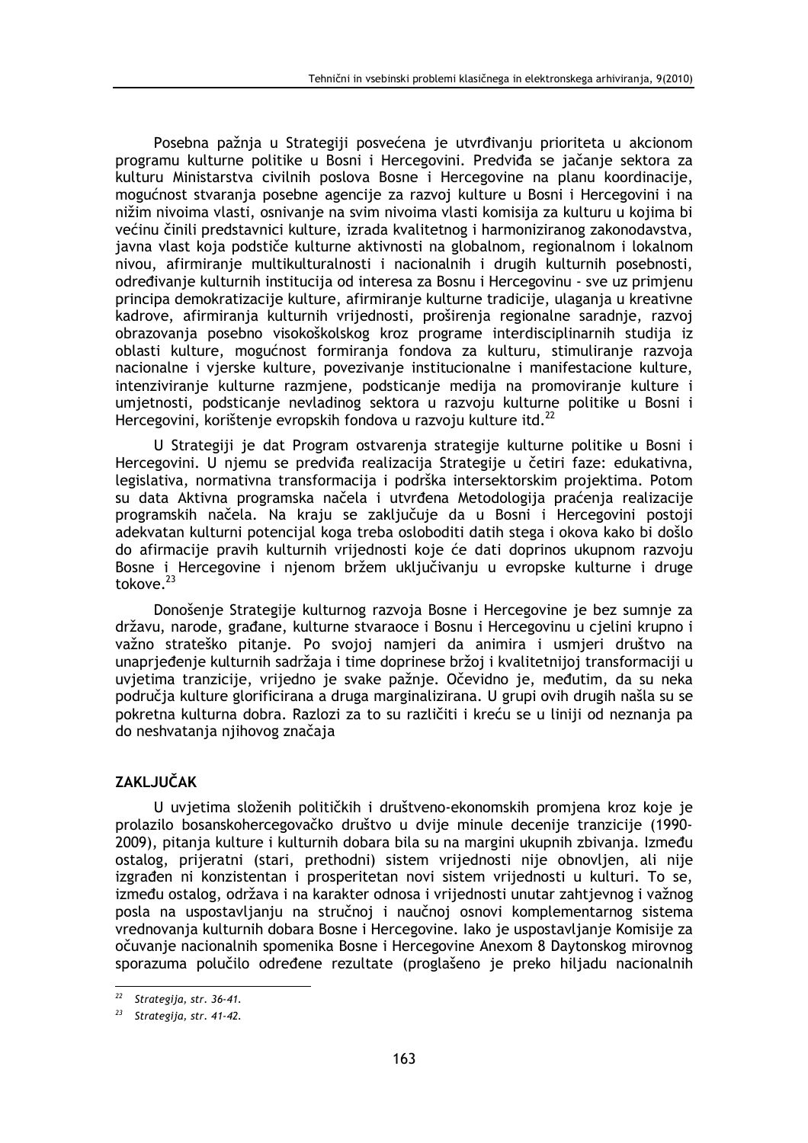Posebna pažnja u Strategiji posvećena je utvrđivanju prioriteta u akcionom programu kulturne politike u Bosni i Hercegovini. Predviđa se jačanje sektora za kulturu Ministarstva civilnih poslova Bosne i Hercegovine na planu koordinacije, mogućnost stvaranja posebne agencije za razvoj kulture u Bosni i Hercegovini i na nižim nivoima vlasti, osnivanje na svim nivoima vlasti komisija za kulturu u kojima bi većinu činili predstavnici kulture, izrada kvalitetnog i harmoniziranog zakonodavstva, javna vlast koja podstiče kulturne aktivnosti na globalnom, regionalnom i lokalnom nivou, afirmiranje multikulturalnosti i nacionalnih i drugih kulturnih posebnosti, određivanje kulturnih institucija od interesa za Bosnu i Hercegovinu - sve uz primjenu principa demokratizacije kulture, afirmiranje kulturne tradicije, ulaganja u kreativne kadrove, afirmiranja kulturnih vrijednosti, proširenja regionalne saradnje, razvoj obrazovanja posebno visokoškolskog kroz programe interdisciplinarnih studija iz oblasti kulture, mogućnost formiranja fondova za kulturu, stimuliranje razvoja nacionalne i vjerske kulture, povezivanje institucionalne i manifestacione kulture, intenziviranje kulturne razmjene, podsticanje medija na promoviranje kulture i umietnosti, podsticanie nevladinog sektora u razvoju kulturne politike u Bosni i Hercegovini, korištenje evropskih fondova u razvoju kulture itd.<sup>22</sup>

U Strategiji je dat Program ostvarenja strategije kulturne politike u Bosni i Hercegovini. U njemu se predviđa realizacija Strategije u četiri faze: edukativna, legislativa, normativna transformacija i podrška intersektorskim projektima. Potom su data Aktivna programska načela i utvrđena Metodologija praćenja realizacije programskih načela. Na kraju se zaključuje da u Bosni i Hercegovini postoji adekvatan kulturni potencijal koga treba osloboditi datih stega i okova kako bi došlo do afirmacije pravih kulturnih vrijednosti koje će dati doprinos ukupnom razvoju Bosne i Hercegovine i njenom bržem uključivanju u evropske kulturne i druge tokove. $^{23}$ 

Donošenje Strategije kulturnog razvoja Bosne i Hercegovine je bez sumnje za državu, narode, građane, kulturne stvaraoce i Bosnu i Hercegovinu u cjelini krupno i važno strateško pitanje. Po svojoj namjeri da animira i usmjeri društvo na unaprieđenie kulturnih sadržaja i time doprinese bržoj i kvalitetnijoj transformaciji u uvjetima tranzicije, vrijedno je svake pažnje. Očevidno je, međutim, da su neka područja kulture glorificirana a druga marginalizirana. U grupi ovih drugih našla su se pokretna kulturna dobra. Razlozi za to su različiti i kreću se u liniji od neznanja pa do neshvatanja njihovog značaja

# **ZAKLJUČAK**

U uvjetima složenih političkih i društveno-ekonomskih promjena kroz koje je prolazilo bosanskohercegovačko društvo u dvije minule decenije tranzicije (1990-2009), pitanja kulture i kulturnih dobara bila su na margini ukupnih zbivanja. Između ostalog, prijeratni (stari, prethodni) sistem vrijednosti nije obnovljen, ali nije izgrađen ni konzistentan i prosperitetan novi sistem vrijednosti u kulturi. To se, između ostalog, održava i na karakter odnosa i vrijednosti unutar zahtjevnog i važnog posla na uspostavljanju na stručnoj i naučnoj osnovi komplementarnog sistema vrednovanja kulturnih dobara Bosne i Hercegovine. Iako je uspostavljanje Komisije za očuvanje nacionalnih spomenika Bosne i Hercegovine Anexom 8 Daytonskog mirovnog sporazuma polučilo određene rezultate (proglašeno je preko hiljadu nacionalnih

<sup>22</sup> Strategija, str. 36-41.

 $23$  Strategija, str. 41-42.